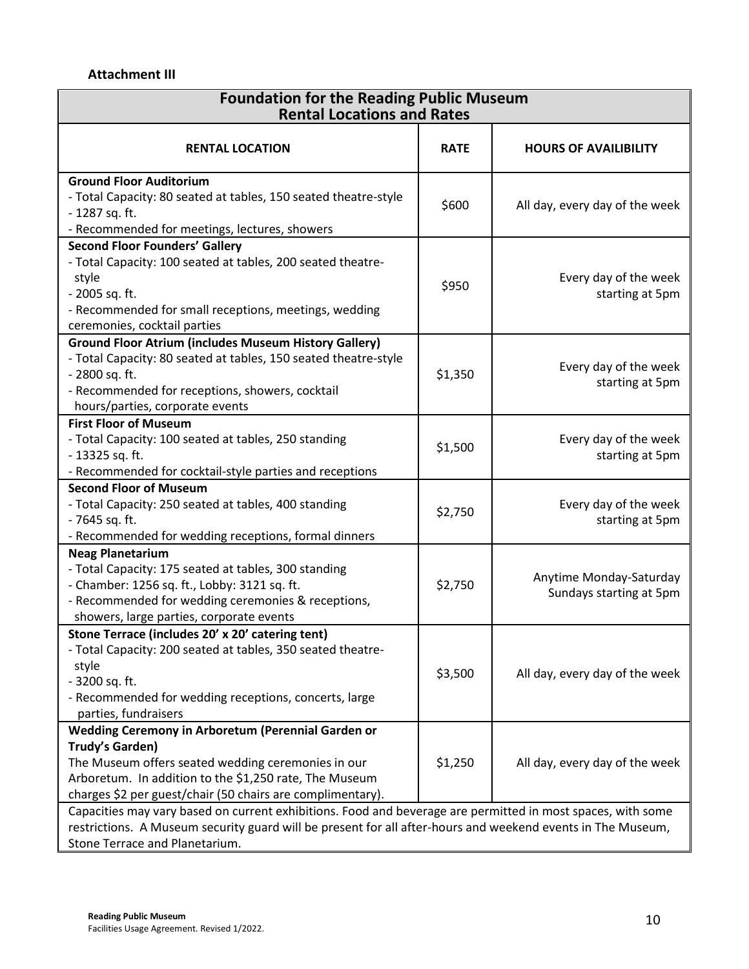## **Attachment III**

| <b>Foundation for the Reading Public Museum</b><br><b>Rental Locations and Rates</b>                                                                                                                                                                         |             |                                                    |  |
|--------------------------------------------------------------------------------------------------------------------------------------------------------------------------------------------------------------------------------------------------------------|-------------|----------------------------------------------------|--|
| <b>RENTAL LOCATION</b>                                                                                                                                                                                                                                       | <b>RATE</b> | <b>HOURS OF AVAILIBILITY</b>                       |  |
| <b>Ground Floor Auditorium</b><br>- Total Capacity: 80 seated at tables, 150 seated theatre-style<br>- 1287 sq. ft.<br>- Recommended for meetings, lectures, showers                                                                                         | \$600       | All day, every day of the week                     |  |
| <b>Second Floor Founders' Gallery</b><br>- Total Capacity: 100 seated at tables, 200 seated theatre-<br>style<br>- 2005 sq. ft.<br>- Recommended for small receptions, meetings, wedding<br>ceremonies, cocktail parties                                     | \$950       | Every day of the week<br>starting at 5pm           |  |
| <b>Ground Floor Atrium (includes Museum History Gallery)</b><br>- Total Capacity: 80 seated at tables, 150 seated theatre-style<br>- 2800 sq. ft.<br>- Recommended for receptions, showers, cocktail<br>hours/parties, corporate events                      | \$1,350     | Every day of the week<br>starting at 5pm           |  |
| <b>First Floor of Museum</b><br>- Total Capacity: 100 seated at tables, 250 standing<br>- 13325 sq. ft.<br>- Recommended for cocktail-style parties and receptions                                                                                           | \$1,500     | Every day of the week<br>starting at 5pm           |  |
| <b>Second Floor of Museum</b><br>- Total Capacity: 250 seated at tables, 400 standing<br>- 7645 sq. ft.<br>- Recommended for wedding receptions, formal dinners                                                                                              | \$2,750     | Every day of the week<br>starting at 5pm           |  |
| <b>Neag Planetarium</b><br>- Total Capacity: 175 seated at tables, 300 standing<br>- Chamber: 1256 sq. ft., Lobby: 3121 sq. ft.<br>- Recommended for wedding ceremonies & receptions,<br>showers, large parties, corporate events                            | \$2,750     | Anytime Monday-Saturday<br>Sundays starting at 5pm |  |
| Stone Terrace (includes 20' x 20' catering tent)<br>- Total Capacity: 200 seated at tables, 350 seated theatre-<br>style<br>- 3200 sq. ft.<br>- Recommended for wedding receptions, concerts, large<br>parties, fundraisers                                  | \$3,500     | All day, every day of the week                     |  |
| Wedding Ceremony in Arboretum (Perennial Garden or<br>Trudy's Garden)<br>The Museum offers seated wedding ceremonies in our<br>Arboretum. In addition to the \$1,250 rate, The Museum<br>charges \$2 per guest/chair (50 chairs are complimentary).          | \$1,250     | All day, every day of the week                     |  |
| Capacities may vary based on current exhibitions. Food and beverage are permitted in most spaces, with some<br>restrictions. A Museum security guard will be present for all after-hours and weekend events in The Museum,<br>Stone Terrace and Planetarium. |             |                                                    |  |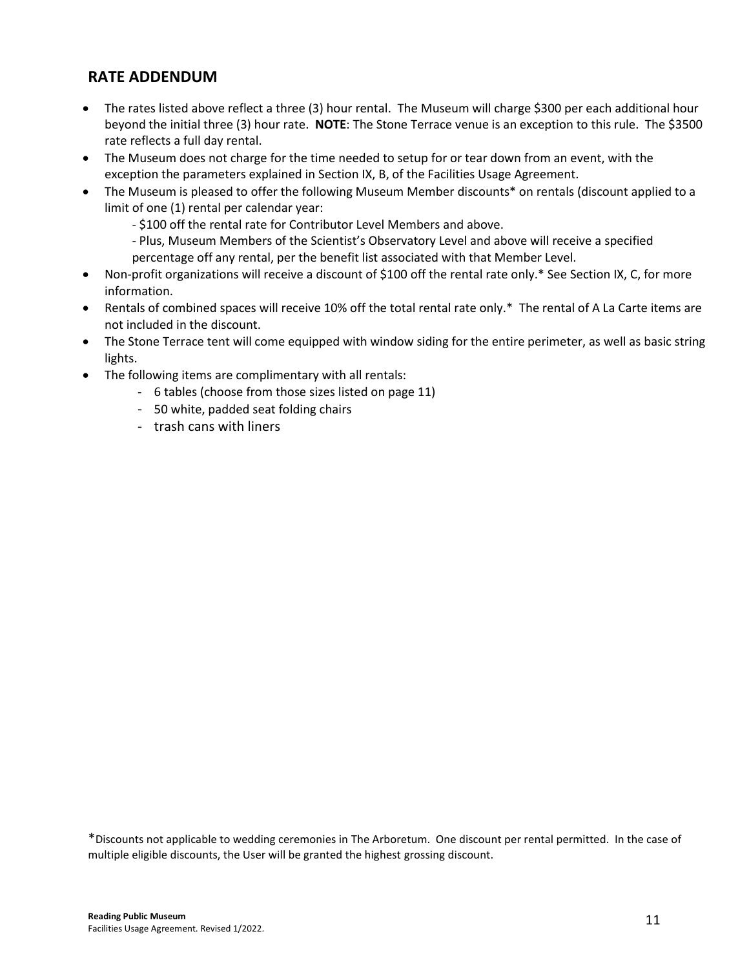## **RATE ADDENDUM**

- The rates listed above reflect a three (3) hour rental. The Museum will charge \$300 per each additional hour beyond the initial three (3) hour rate. **NOTE**: The Stone Terrace venue is an exception to this rule. The \$3500 rate reflects a full day rental.
- The Museum does not charge for the time needed to setup for or tear down from an event, with the exception the parameters explained in Section IX, B, of the Facilities Usage Agreement.
- The Museum is pleased to offer the following Museum Member discounts\* on rentals (discount applied to a limit of one (1) rental per calendar year:
	- \$100 off the rental rate for Contributor Level Members and above.
	- Plus, Museum Members of the Scientist's Observatory Level and above will receive a specified
	- percentage off any rental, per the benefit list associated with that Member Level.
- Non-profit organizations will receive a discount of \$100 off the rental rate only.\* See Section IX, C, for more information.
- Rentals of combined spaces will receive 10% off the total rental rate only.\* The rental of A La Carte items are not included in the discount.
- The Stone Terrace tent will come equipped with window siding for the entire perimeter, as well as basic string lights.
- The following items are complimentary with all rentals:
	- 6 tables (choose from those sizes listed on page 11)
	- 50 white, padded seat folding chairs
	- trash cans with liners

\*Discounts not applicable to wedding ceremonies in The Arboretum. One discount per rental permitted. In the case of multiple eligible discounts, the User will be granted the highest grossing discount.